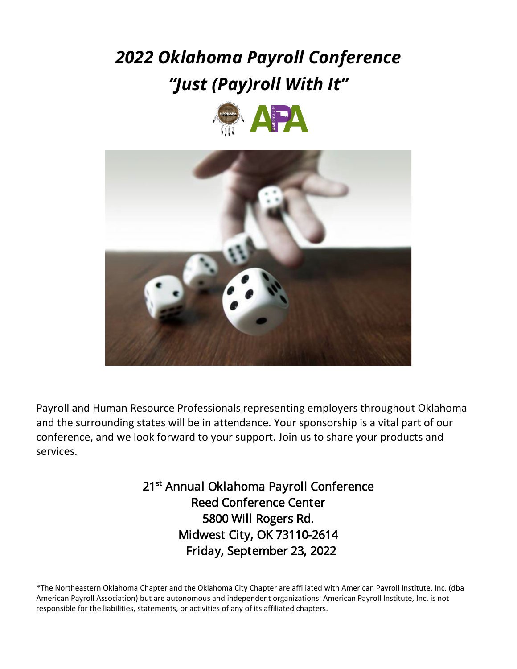# *2022 Oklahoma Payroll Conference "Just (Pay)roll With It"*





Payroll and Human Resource Professionals representing employers throughout Oklahoma and the surrounding states will be in attendance. Your sponsorship is a vital part of our conference, and we look forward to your support. Join us to share your products and services.

> 21<sup>st</sup> Annual Oklahoma Payroll Conference Reed Conference Center 5800 Will Rogers Rd. Midwest City, OK 73110-2614 Friday, September 23, 2022

\*The Northeastern Oklahoma Chapter and the Oklahoma City Chapter are affiliated with American Payroll Institute, Inc. (dba American Payroll Association) but are autonomous and independent organizations. American Payroll Institute, Inc. is not responsible for the liabilities, statements, or activities of any of its affiliated chapters.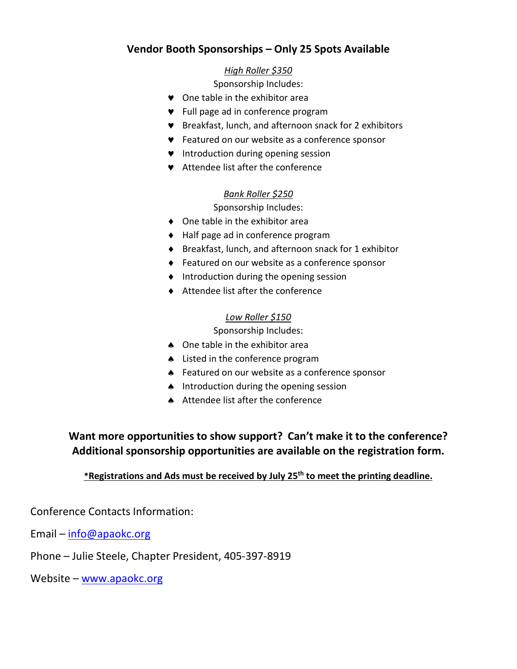## **Vendor Booth Sponsorships – Only 25 Spots Available**

#### *High Roller \$350*

Sponsorship Includes:

- ♥ One table in the exhibitor area
- ♥ Full page ad in conference program
- ♥ Breakfast, lunch, and afternoon snack for 2 exhibitors
- ♥ Featured on our website as a conference sponsor
- ♥ Introduction during opening session
- ♥ Attendee list after the conference

#### *Bank Roller \$250*

Sponsorship Includes:

- ♦ One table in the exhibitor area
- ♦ Half page ad in conference program
- ♦ Breakfast, lunch, and afternoon snack for 1 exhibitor
- ♦ Featured on our website as a conference sponsor
- ♦ Introduction during the opening session
- ♦ Attendee list after the conference

#### *Low Roller \$150*

Sponsorship Includes:

- ♠ One table in the exhibitor area
- ♠ Listed in the conference program
- ♠ Featured on our website as a conference sponsor
- ♠ Introduction during the opening session
- ♠ Attendee list after the conference

# **Want more opportunities to show support? Can't make it to the conference? Additional sponsorship opportunities are available on the registration form.**

#### **\*Registrations and Ads must be received by July 25th to meet the printing deadline.**

Conference Contacts Information:

Email – [info@apaokc.org](mailto:info@apaokc.org) 

Phone – Julie Steele, Chapter President, 405-397-8919

Website – [www.apaokc.org](http://www.apaokc.org/)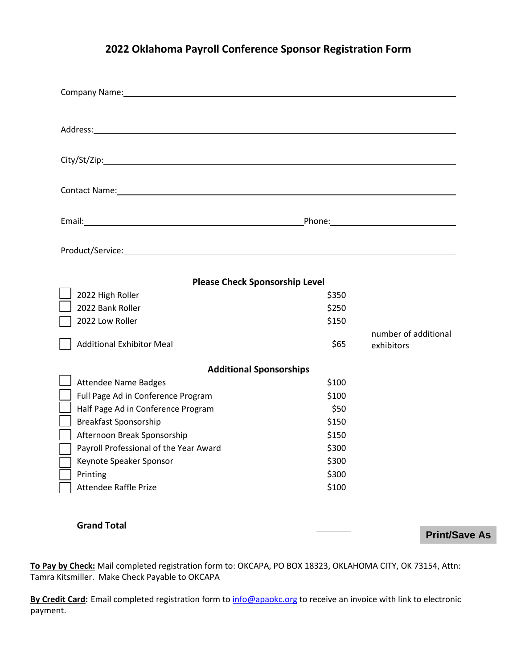# **2022 Oklahoma Payroll Conference Sponsor Registration Form**

| Company Name: Name: Name and Security Assembly Name and Security Assembly Assembly Assembly Assembly Assembly |       |                                                     |
|---------------------------------------------------------------------------------------------------------------|-------|-----------------------------------------------------|
|                                                                                                               |       |                                                     |
|                                                                                                               |       |                                                     |
|                                                                                                               |       |                                                     |
|                                                                                                               |       |                                                     |
|                                                                                                               |       |                                                     |
|                                                                                                               |       |                                                     |
|                                                                                                               |       | Phone: Note: 2008 [19] Phone: 2008 [19] Phone: 2008 |
|                                                                                                               |       |                                                     |
|                                                                                                               |       |                                                     |
|                                                                                                               |       |                                                     |
| <b>Please Check Sponsorship Level</b>                                                                         |       |                                                     |
| 2022 High Roller                                                                                              | \$350 |                                                     |
| 2022 Bank Roller                                                                                              | \$250 |                                                     |
| 2022 Low Roller                                                                                               | \$150 |                                                     |
|                                                                                                               |       | number of additional                                |
| <b>Additional Exhibitor Meal</b>                                                                              | \$65  | exhibitors                                          |
| <b>Additional Sponsorships</b>                                                                                |       |                                                     |
| <b>Attendee Name Badges</b>                                                                                   | \$100 |                                                     |
| Full Page Ad in Conference Program                                                                            | \$100 |                                                     |
| Half Page Ad in Conference Program                                                                            | \$50  |                                                     |
| <b>Breakfast Sponsorship</b>                                                                                  | \$150 |                                                     |
| Afternoon Break Sponsorship                                                                                   | \$150 |                                                     |
| Payroll Professional of the Year Award                                                                        | \$300 |                                                     |
| Keynote Speaker Sponsor                                                                                       | \$300 |                                                     |
| Printing                                                                                                      | \$300 |                                                     |
| Attendee Raffle Prize                                                                                         | \$100 |                                                     |

#### **Grand Total**

**Print/Save As**

**To Pay by Check:** Mail completed registration form to: OKCAPA, PO BOX 18323, OKLAHOMA CITY, OK 73154, Attn: Tamra Kitsmiller. Make Check Payable to OKCAPA

By Credit Card: Email completed registration form to [info@apaokc.org](mailto:info@apaokc.org) to receive an invoice with link to electronic payment.